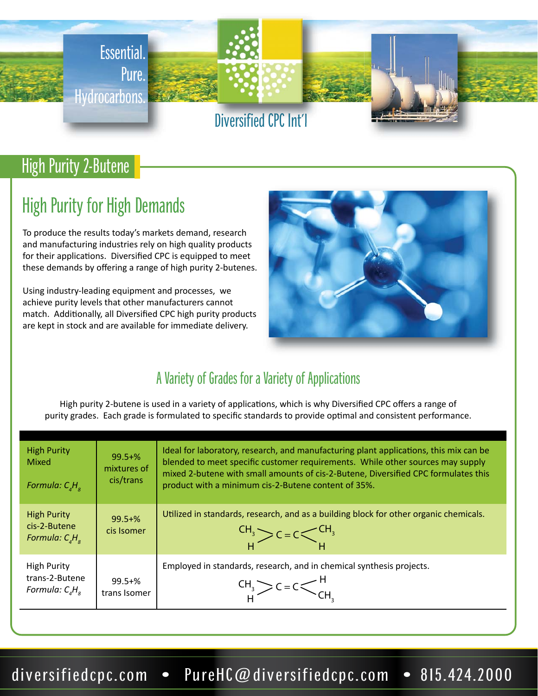

# High Purity 2-Butene

# High Purity for High Demands

To produce the results today's markets demand, research and manufacturing industries rely on high quality products for their applications. Diversified CPC is equipped to meet these demands by offering a range of high purity 2-butenes.

Using industry-leading equipment and processes, we achieve purity levels that other manufacturers cannot match. Additionally, all Diversified CPC high purity products are kept in stock and are available for immediate delivery.



## A Variety of Grades for a Variety of Applications

High purity 2-butene is used in a variety of applications, which is why Diversified CPC offers a range of purity grades. Each grade is formulated to specific standards to provide optimal and consistent performance.

| <b>High Purity</b><br><b>Mixed</b><br>Formula: $C_{A}H_{R}$   | $99.5 + \%$<br>mixtures of<br>cis/trans | Ideal for laboratory, research, and manufacturing plant applications, this mix can be<br>blended to meet specific customer requirements. While other sources may supply<br>mixed 2-butene with small amounts of cis-2-Butene, Diversified CPC formulates this<br>product with a minimum cis-2-Butene content of 35%. |
|---------------------------------------------------------------|-----------------------------------------|----------------------------------------------------------------------------------------------------------------------------------------------------------------------------------------------------------------------------------------------------------------------------------------------------------------------|
| <b>High Purity</b><br>cis-2-Butene<br>Formula: $C_{A}H_{R}$   | $99.5 + \%$<br>cis Isomer               | Utilized in standards, research, and as a building block for other organic chemicals.<br>$C_{\text{H}_{3}} > C = C \left\langle C_{\text{H}_{3}} \right\rangle$                                                                                                                                                      |
| <b>High Purity</b><br>trans-2-Butene<br>Formula: $C_{A}H_{o}$ | $99.5 + \%$<br>trans Isomer             | Employed in standards, research, and in chemical synthesis projects.<br>$CH_3 > C = C < C$                                                                                                                                                                                                                           |